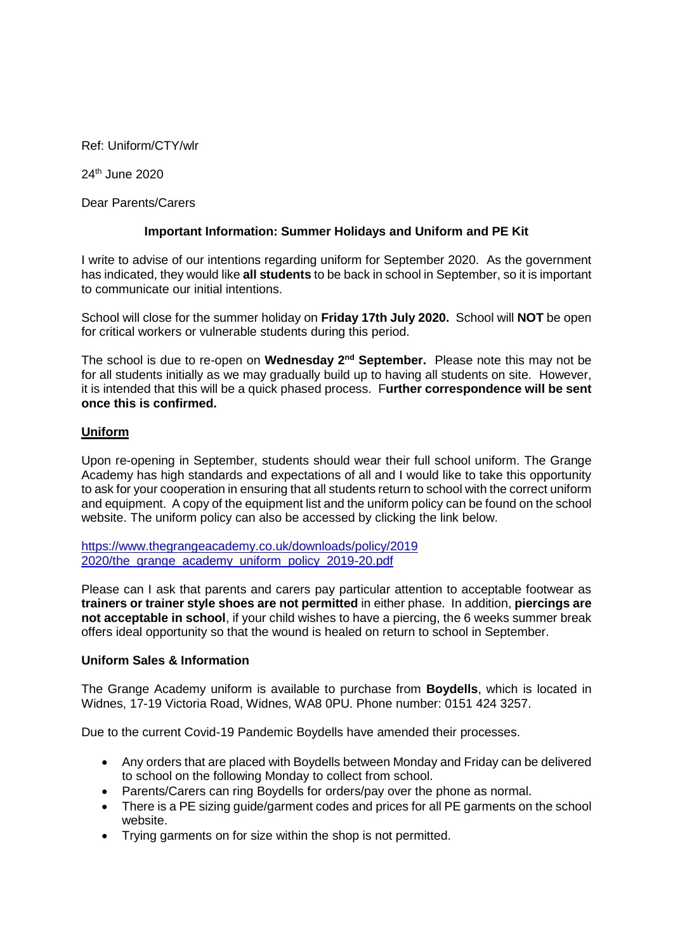Ref: Uniform/CTY/wlr

24th June 2020

Dear Parents/Carers

## **Important Information: Summer Holidays and Uniform and PE Kit**

I write to advise of our intentions regarding uniform for September 2020. As the government has indicated, they would like **all students** to be back in school in September, so it is important to communicate our initial intentions.

School will close for the summer holiday on **Friday 17th July 2020.** School will **NOT** be open for critical workers or vulnerable students during this period.

The school is due to re-open on **Wednesday 2nd September.** Please note this may not be for all students initially as we may gradually build up to having all students on site. However, it is intended that this will be a quick phased process. F**urther correspondence will be sent once this is confirmed.**

## **Uniform**

Upon re-opening in September, students should wear their full school uniform. The Grange Academy has high standards and expectations of all and I would like to take this opportunity to ask for your cooperation in ensuring that all students return to school with the correct uniform and equipment. A copy of the equipment list and the uniform policy can be found on the school website. The uniform policy can also be accessed by clicking the link below.

[https://www.thegrangeacademy.co.uk/downloads/policy/2019](https://www.thegrangeacademy.co.uk/downloads/policy/2019%202020/the_grange_academy_uniform_policy_2019-20.pdf)  [2020/the\\_grange\\_academy\\_uniform\\_policy\\_2019-20.pdf](https://www.thegrangeacademy.co.uk/downloads/policy/2019%202020/the_grange_academy_uniform_policy_2019-20.pdf)

Please can I ask that parents and carers pay particular attention to acceptable footwear as **trainers or trainer style shoes are not permitted** in either phase. In addition, **piercings are not acceptable in school**, if your child wishes to have a piercing, the 6 weeks summer break offers ideal opportunity so that the wound is healed on return to school in September.

## **Uniform Sales & Information**

The Grange Academy uniform is available to purchase from **Boydells**, which is located in Widnes, 17-19 Victoria Road, Widnes, WA8 0PU. Phone number: 0151 424 3257.

Due to the current Covid-19 Pandemic Boydells have amended their processes.

- Any orders that are placed with Boydells between Monday and Friday can be delivered to school on the following Monday to collect from school.
- Parents/Carers can ring Boydells for orders/pay over the phone as normal.
- There is a PE sizing guide/garment codes and prices for all PE garments on the school website.
- Trying garments on for size within the shop is not permitted.